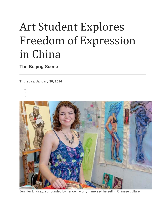# Art Student Explores Freedom of Expression in China

**The Beijing Scene**

**Thursday, January 30, 2014**

- •
- •



Jennifer Lindsay, surrounded by her own work, immersed herself in Chinese culture.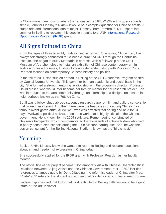Is China more open now for artists than it was in the 1980s? While this query sounds simple, Jennifer Lindsay '14 knew it would be a complex question for Chinese artists. A studio arts and international affairs major, Lindsay, from Pembroke, N.H., spent last summer in Beijing to research this question thanks to a UNH [International Research](http://unh.edu/undergrad-research/international-research-opportunities-program-irop)  [Opportunities Program \(IROP\)](http://unh.edu/undergrad-research/international-research-opportunities-program-irop) grant.

## All Signs Pointed to China

From the ages of three to eight, Lindsay lived in Taiwan. She notes, "Since then, I've always felt strongly connected to Chinese culture." At UNH through the Confucius Institute, she began to study Mandarin in earnest. With a fellowship at the UNH Museum of Art, she helped to install an exhibition of Chinese contemporary art. In addition to her art courses, Lindsay took an independent study with Professor Chris Reardon focused on contemporary Chinese history and politics.

In the fall of 2011, she studied abroad in Beijing at the CET Academic Program hosted by Capital Normal University. This gave her both an academic and social base in the city. She formed a strong mentoring relationship with the program's director, Professor David Moser, who would later become her foreign mentor for her research project. She was introduced to the arts community through an internship at a design firm located in a neighborhood known as the 798 Art Zone.

But it was a fellow study abroad student's research paper on film and gallery censorship that piqued her interest. And then there were the headlines concerning China's most famous avant-garde artist, Ai Weiwei, who was arrested that spring and held for 81 days. Weiwei, a political activist, often does work that is highly critical of the Chinese government. He is known for his 2009 sculpture, Remembering, constructed of children's backpacks, which commemorated the thousands of schoolchildren who died in poorly constructed schools during the 2008 Sichuan earthquake. And, he was the design consultant for the Beijing National Stadium, known as the "bird's nest."

## Yearning

Back at UNH, Lindsay knew she wanted to return to Beijing and research questions about art and freedom of expression in China today.

She successfully applied for the IROP grant with Professor Reardon as her faculty mentor.

The official title of her project became "Contemporary Art with Chinese Characteristics: Relations Between Beijing Artists and the Chinese Government Post–1989." Her title references a famous quote by Deng Xiaoping, the reformist leader of China after Mao. "Post–1989" refers to the student uprising and call for democracy in Tiananmen Square.

Lindsay hypothesized that looking at work exhibited in Beijing galleries would be a good "state-of-the-art" indicator.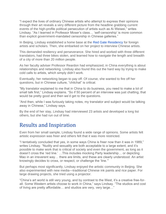"I expect the lives of ordinary Chinese artists who attempt to express their opinions through their art reveals a very different picture from the headline grabbing current events of the high-profile political persecution of artists such as Ai Weiwei," writes Lindsay. "As I learned in Professor Moser's class… 'self-censorship' is more common than explicit government-mandated censorship in Chinese galleries."

In Beijing, Lindsay established a home base at the [Red Gate Residency](http://www.redgategallery.com/Artist_in_Residence/) for foreign artists and scholars. Then, she embarked on her project to interview Chinese artists.

This demanded resiliency and perseverance. She hired and worked with three different translators, had three bikes stolen, and learned how to navigate the length and breadth of a city of more than 20 million people.

As her faculty adviser Professor Reardon had emphasized, in China everything is about relationships and networking. Lindsay also found this out the hard way by trying to make cold calls to artists, which simply didn't work.

Eventually, her networking began to pay off. Of course, she wanted to fire off her questions, but in Chinese culture, "chitchat" is critical.

"My translator explained to me that in China to do business, you need to make a lot of small talk first," Lindsay explains. "So if 50 percent of an interview was just chatting, that would be pretty good and then we'd get to the questions.

"And then, while I was furiously taking notes, my translator and subject would be talking away in Chinese," Lindsay says.

By the end of her stay, Lindsay had interviewed 23 artists and developed a long list others, but she had run out of time.

### Results and Inspiration

Even from her small sample, Lindsay found a wide range of opinions. Some artists felt artistic expression was freer and others felt that it was more restricted.

"I tentatively concluded that yes, in some ways China is freer now than it was in 1989," writes Lindsay. "Nudity and sexuality are both acceptable to a large extent, and it's possible to make work that is critical of society and even the government, as long as it doesn't cross the 'red line.' …This includes mocking Party leadership… or depicting Mao in an irreverent way… there are limits, and these are clearly understood. An artist knowingly decides to cross, or respect, or challenge the 'line.'"

But perhaps most significantly, Lindsay enjoyed the artistic community in Beijing. She also experimented with new media—traditional Chinese ink paints and rice paper. For large drawing projects, she tried using a projector.

"China's art world is still very young, and by contrast to the West, it's a creative free-forall. Some Western artists choose to work in China," says Lindsay. "The studios and cost of living are pretty affordable… and studios are very, very large…"